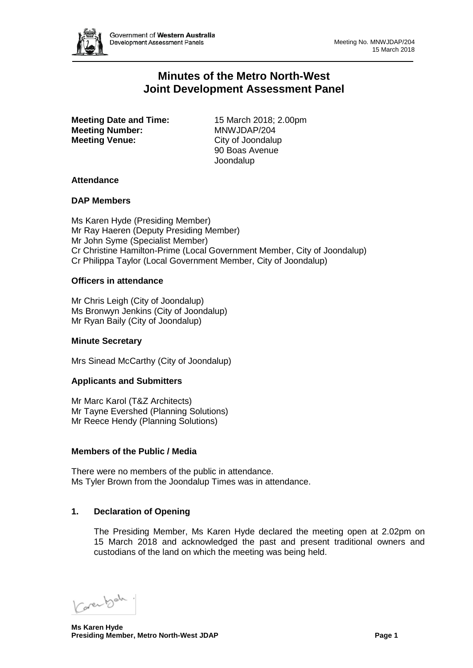

# **Minutes of the Metro North-West Joint Development Assessment Panel**

**Meeting Date and Time:** 15 March 2018; 2.00pm<br> **Meeting Number:** MNWJDAP/204 **Meeting Number: Meeting Venue:** City of Joondalup

90 Boas Avenue Joondalup

## **Attendance**

### **DAP Members**

Ms Karen Hyde (Presiding Member) Mr Ray Haeren (Deputy Presiding Member) Mr John Syme (Specialist Member) Cr Christine Hamilton-Prime (Local Government Member, City of Joondalup) Cr Philippa Taylor (Local Government Member, City of Joondalup)

### **Officers in attendance**

Mr Chris Leigh (City of Joondalup) Ms Bronwyn Jenkins (City of Joondalup) Mr Ryan Baily (City of Joondalup)

### **Minute Secretary**

Mrs Sinead McCarthy (City of Joondalup)

## **Applicants and Submitters**

Mr Marc Karol (T&Z Architects) Mr Tayne Evershed (Planning Solutions) Mr Reece Hendy (Planning Solutions)

### **Members of the Public / Media**

There were no members of the public in attendance. Ms Tyler Brown from the Joondalup Times was in attendance.

## **1. Declaration of Opening**

The Presiding Member, Ms Karen Hyde declared the meeting open at 2.02pm on 15 March 2018 and acknowledged the past and present traditional owners and custodians of the land on which the meeting was being held.

Carenbeh.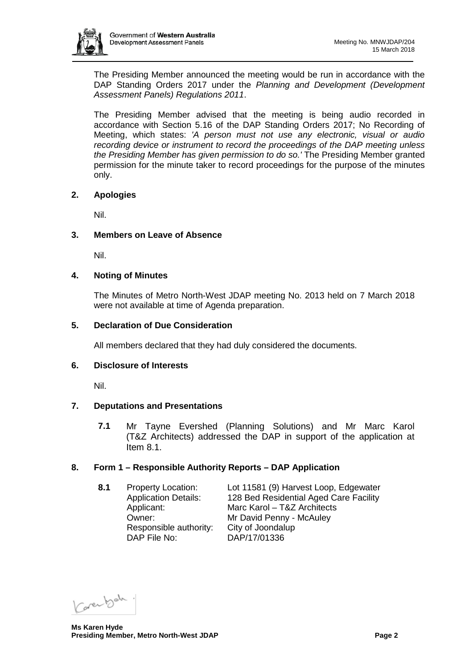

The Presiding Member announced the meeting would be run in accordance with the DAP Standing Orders 2017 under the *Planning and Development (Development Assessment Panels) Regulations 2011*.

The Presiding Member advised that the meeting is being audio recorded in accordance with Section 5.16 of the DAP Standing Orders 2017; No Recording of Meeting, which states: *'A person must not use any electronic, visual or audio recording device or instrument to record the proceedings of the DAP meeting unless the Presiding Member has given permission to do so.'* The Presiding Member granted permission for the minute taker to record proceedings for the purpose of the minutes only.

### **2. Apologies**

Nil.

### **3. Members on Leave of Absence**

Nil.

### **4. Noting of Minutes**

The Minutes of Metro North-West JDAP meeting No. 2013 held on 7 March 2018 were not available at time of Agenda preparation.

## **5. Declaration of Due Consideration**

All members declared that they had duly considered the documents.

### **6. Disclosure of Interests**

Nil.

## **7. Deputations and Presentations**

**7.1** Mr Tayne Evershed (Planning Solutions) and Mr Marc Karol (T&Z Architects) addressed the DAP in support of the application at Item 8.1.

## **8. Form 1 – Responsible Authority Reports – DAP Application**

**8.1** Property Location: Lot 11581 (9) Harvest Loop, Edgewater Application Details: 128 Bed Residential Aged Care Facility Applicant: Marc Karol – T&Z Architects<br>
Mr David Penny - McAuley Mr David Penny - McAuley Responsible authority: City of Joondalup<br>DAP File No: DAP/17/01336 DAP/17/01336

Carental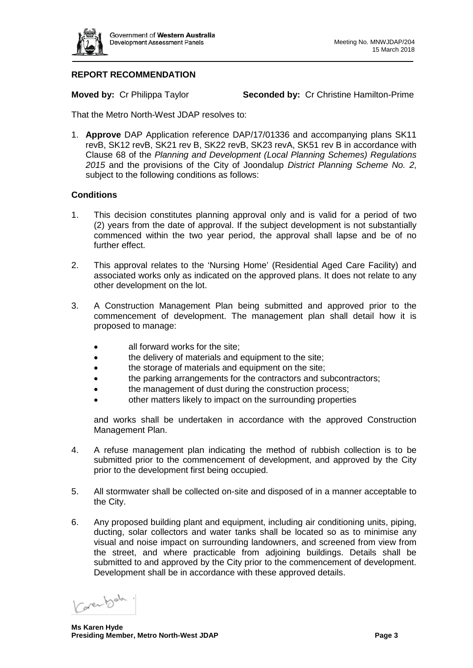

## **REPORT RECOMMENDATION**

**Moved by:** Cr Philippa Taylor **Seconded by:** Cr Christine Hamilton-Prime

That the Metro North-West JDAP resolves to:

1. **Approve** DAP Application reference DAP/17/01336 and accompanying plans SK11 revB, SK12 revB, SK21 rev B, SK22 revB, SK23 revA, SK51 rev B in accordance with Clause 68 of the *Planning and Development (Local Planning Schemes) Regulations 2015* and the provisions of the City of Joondalup *District Planning Scheme No. 2*, subject to the following conditions as follows:

## **Conditions**

- 1. This decision constitutes planning approval only and is valid for a period of two (2) years from the date of approval. If the subject development is not substantially commenced within the two year period, the approval shall lapse and be of no further effect.
- 2. This approval relates to the 'Nursing Home' (Residential Aged Care Facility) and associated works only as indicated on the approved plans. It does not relate to any other development on the lot.
- 3. A Construction Management Plan being submitted and approved prior to the commencement of development. The management plan shall detail how it is proposed to manage:
	- all forward works for the site:
	- the delivery of materials and equipment to the site;
	- the storage of materials and equipment on the site;
	- the parking arrangements for the contractors and subcontractors;
	- the management of dust during the construction process;
	- other matters likely to impact on the surrounding properties

and works shall be undertaken in accordance with the approved Construction Management Plan.

- 4. A refuse management plan indicating the method of rubbish collection is to be submitted prior to the commencement of development, and approved by the City prior to the development first being occupied.
- 5. All stormwater shall be collected on-site and disposed of in a manner acceptable to the City.
- 6. Any proposed building plant and equipment, including air conditioning units, piping, ducting, solar collectors and water tanks shall be located so as to minimise any visual and noise impact on surrounding landowners, and screened from view from the street, and where practicable from adjoining buildings. Details shall be submitted to and approved by the City prior to the commencement of development. Development shall be in accordance with these approved details.

Verenbah.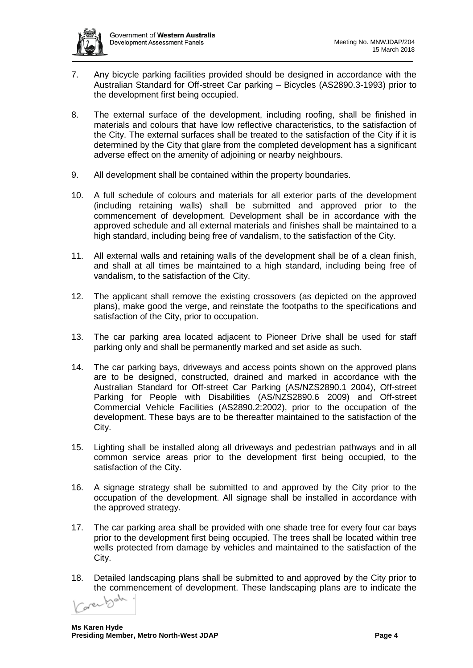

- 7. Any bicycle parking facilities provided should be designed in accordance with the Australian Standard for Off-street Car parking – Bicycles (AS2890.3-1993) prior to the development first being occupied.
- 8. The external surface of the development, including roofing, shall be finished in materials and colours that have low reflective characteristics, to the satisfaction of the City. The external surfaces shall be treated to the satisfaction of the City if it is determined by the City that glare from the completed development has a significant adverse effect on the amenity of adjoining or nearby neighbours.
- 9. All development shall be contained within the property boundaries.
- 10. A full schedule of colours and materials for all exterior parts of the development (including retaining walls) shall be submitted and approved prior to the commencement of development. Development shall be in accordance with the approved schedule and all external materials and finishes shall be maintained to a high standard, including being free of vandalism, to the satisfaction of the City.
- 11. All external walls and retaining walls of the development shall be of a clean finish, and shall at all times be maintained to a high standard, including being free of vandalism, to the satisfaction of the City.
- 12. The applicant shall remove the existing crossovers (as depicted on the approved plans), make good the verge, and reinstate the footpaths to the specifications and satisfaction of the City, prior to occupation.
- 13. The car parking area located adjacent to Pioneer Drive shall be used for staff parking only and shall be permanently marked and set aside as such.
- 14. The car parking bays, driveways and access points shown on the approved plans are to be designed, constructed, drained and marked in accordance with the Australian Standard for Off-street Car Parking (AS/NZS2890.1 2004), Off-street Parking for People with Disabilities (AS/NZS2890.6 2009) and Off-street Commercial Vehicle Facilities (AS2890.2:2002), prior to the occupation of the development. These bays are to be thereafter maintained to the satisfaction of the City.
- 15. Lighting shall be installed along all driveways and pedestrian pathways and in all common service areas prior to the development first being occupied, to the satisfaction of the City.
- 16. A signage strategy shall be submitted to and approved by the City prior to the occupation of the development. All signage shall be installed in accordance with the approved strategy.
- 17. The car parking area shall be provided with one shade tree for every four car bays prior to the development first being occupied. The trees shall be located within tree wells protected from damage by vehicles and maintained to the satisfaction of the City.
- 18. Detailed landscaping plans shall be submitted to and approved by the City prior to the commencement of development. These landscaping plans are to indicate the<br>
Context behavior in the commencement of development. These landscaping plans are to indicate the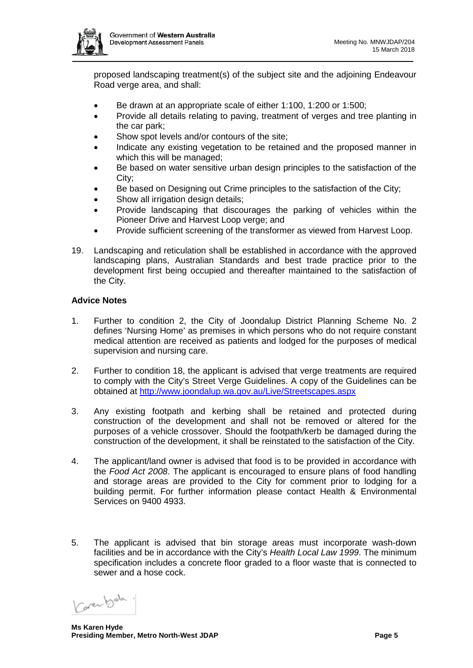

proposed landscaping treatment(s) of the subject site and the adjoining Endeavour Road verge area, and shall:

- Be drawn at an appropriate scale of either 1:100, 1:200 or 1:500;
- Provide all details relating to paving, treatment of verges and tree planting in the car park;
- Show spot levels and/or contours of the site;
- Indicate any existing vegetation to be retained and the proposed manner in which this will be managed;
- Be based on water sensitive urban design principles to the satisfaction of the City;
- Be based on Designing out Crime principles to the satisfaction of the City;
- Show all irrigation design details;
- Provide landscaping that discourages the parking of vehicles within the Pioneer Drive and Harvest Loop verge; and
- Provide sufficient screening of the transformer as viewed from Harvest Loop.
- 19. Landscaping and reticulation shall be established in accordance with the approved landscaping plans, Australian Standards and best trade practice prior to the development first being occupied and thereafter maintained to the satisfaction of the City.

### **Advice Notes**

- 1. Further to condition 2, the City of Joondalup District Planning Scheme No. 2 defines 'Nursing Home' as premises in which persons who do not require constant medical attention are received as patients and lodged for the purposes of medical supervision and nursing care.
- 2. Further to condition 18, the applicant is advised that verge treatments are required to comply with the City's Street Verge Guidelines. A copy of the Guidelines can be obtained at<http://www.joondalup.wa.gov.au/Live/Streetscapes.aspx>
- 3. Any existing footpath and kerbing shall be retained and protected during construction of the development and shall not be removed or altered for the purposes of a vehicle crossover. Should the footpath/kerb be damaged during the construction of the development, it shall be reinstated to the satisfaction of the City.
- 4. The applicant/land owner is advised that food is to be provided in accordance with the *Food Act 2008*. The applicant is encouraged to ensure plans of food handling and storage areas are provided to the City for comment prior to lodging for a building permit. For further information please contact Health & Environmental Services on 9400 4933.
- 5. The applicant is advised that bin storage areas must incorporate wash-down facilities and be in accordance with the City's *Health Local Law 1999*. The minimum specification includes a concrete floor graded to a floor waste that is connected to sewer and a hose cock.

Verenbah.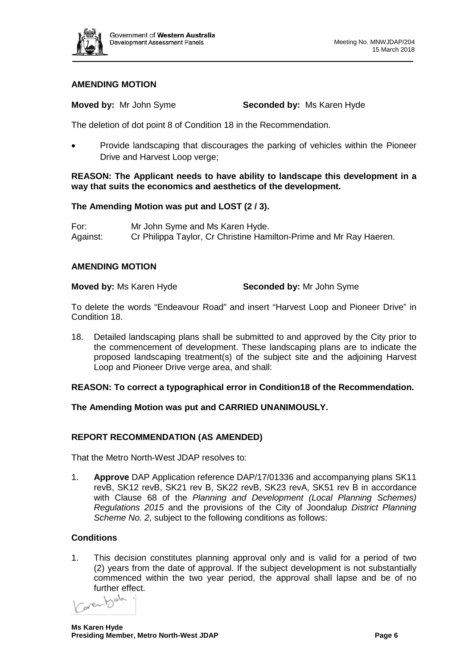

## **AMENDING MOTION**

**Moved by:** Mr John Syme **Seconded by:** Ms Karen Hyde

The deletion of dot point 8 of Condition 18 in the Recommendation.

• Provide landscaping that discourages the parking of vehicles within the Pioneer Drive and Harvest Loop verge;

### **REASON: The Applicant needs to have ability to landscape this development in a way that suits the economics and aesthetics of the development.**

## **The Amending Motion was put and LOST (2 / 3).**

For: Mr John Syme and Ms Karen Hyde. Against: Cr Philippa Taylor, Cr Christine Hamilton-Prime and Mr Ray Haeren.

### **AMENDING MOTION**

**Moved by:** Ms Karen Hyde **Seconded by:** Mr John Syme

To delete the words "Endeavour Road" and insert "Harvest Loop and Pioneer Drive" in Condition 18.

18. Detailed landscaping plans shall be submitted to and approved by the City prior to the commencement of development. These landscaping plans are to indicate the proposed landscaping treatment(s) of the subject site and the adjoining Harvest Loop and Pioneer Drive verge area, and shall:

## **REASON: To correct a typographical error in Condition18 of the Recommendation.**

### **The Amending Motion was put and CARRIED UNANIMOUSLY.**

### **REPORT RECOMMENDATION (AS AMENDED)**

That the Metro North-West JDAP resolves to:

1. **Approve** DAP Application reference DAP/17/01336 and accompanying plans SK11 revB, SK12 revB, SK21 rev B, SK22 revB, SK23 revA, SK51 rev B in accordance with Clause 68 of the *Planning and Development (Local Planning Schemes) Regulations 2015* and the provisions of the City of Joondalup *District Planning Scheme No. 2*, subject to the following conditions as follows:

## **Conditions**

1. This decision constitutes planning approval only and is valid for a period of two (2) years from the date of approval. If the subject development is not substantially commenced within the two year period, the approval shall lapse and be of no

further effect.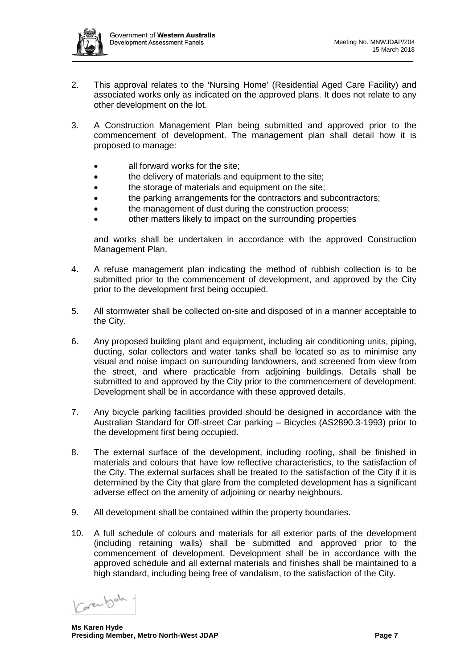

- 2. This approval relates to the 'Nursing Home' (Residential Aged Care Facility) and associated works only as indicated on the approved plans. It does not relate to any other development on the lot.
- 3. A Construction Management Plan being submitted and approved prior to the commencement of development. The management plan shall detail how it is proposed to manage:
	- all forward works for the site:
	- the delivery of materials and equipment to the site;
	- the storage of materials and equipment on the site;
	- the parking arrangements for the contractors and subcontractors;
	- the management of dust during the construction process;
	- other matters likely to impact on the surrounding properties

and works shall be undertaken in accordance with the approved Construction Management Plan.

- 4. A refuse management plan indicating the method of rubbish collection is to be submitted prior to the commencement of development, and approved by the City prior to the development first being occupied.
- 5. All stormwater shall be collected on-site and disposed of in a manner acceptable to the City.
- 6. Any proposed building plant and equipment, including air conditioning units, piping, ducting, solar collectors and water tanks shall be located so as to minimise any visual and noise impact on surrounding landowners, and screened from view from the street, and where practicable from adjoining buildings. Details shall be submitted to and approved by the City prior to the commencement of development. Development shall be in accordance with these approved details.
- 7. Any bicycle parking facilities provided should be designed in accordance with the Australian Standard for Off-street Car parking – Bicycles (AS2890.3-1993) prior to the development first being occupied.
- 8. The external surface of the development, including roofing, shall be finished in materials and colours that have low reflective characteristics, to the satisfaction of the City. The external surfaces shall be treated to the satisfaction of the City if it is determined by the City that glare from the completed development has a significant adverse effect on the amenity of adjoining or nearby neighbours.
- 9. All development shall be contained within the property boundaries.
- 10. A full schedule of colours and materials for all exterior parts of the development (including retaining walls) shall be submitted and approved prior to the commencement of development. Development shall be in accordance with the approved schedule and all external materials and finishes shall be maintained to a high standard, including being free of vandalism, to the satisfaction of the City.

Varenbah.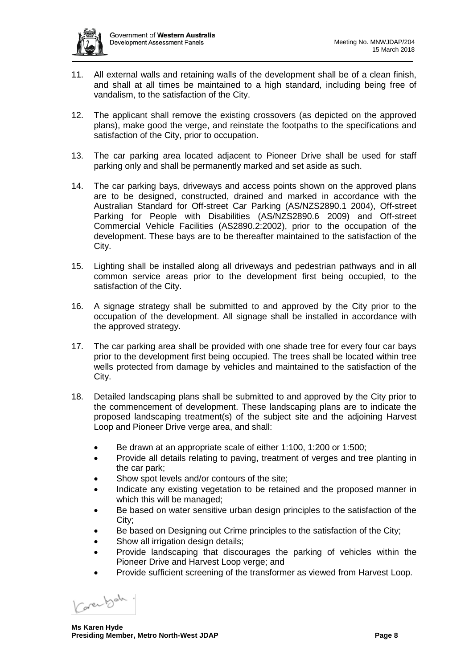

- 11. All external walls and retaining walls of the development shall be of a clean finish, and shall at all times be maintained to a high standard, including being free of vandalism, to the satisfaction of the City.
- 12. The applicant shall remove the existing crossovers (as depicted on the approved plans), make good the verge, and reinstate the footpaths to the specifications and satisfaction of the City, prior to occupation.
- 13. The car parking area located adjacent to Pioneer Drive shall be used for staff parking only and shall be permanently marked and set aside as such.
- 14. The car parking bays, driveways and access points shown on the approved plans are to be designed, constructed, drained and marked in accordance with the Australian Standard for Off-street Car Parking (AS/NZS2890.1 2004), Off-street Parking for People with Disabilities (AS/NZS2890.6 2009) and Off-street Commercial Vehicle Facilities (AS2890.2:2002), prior to the occupation of the development. These bays are to be thereafter maintained to the satisfaction of the City.
- 15. Lighting shall be installed along all driveways and pedestrian pathways and in all common service areas prior to the development first being occupied, to the satisfaction of the City.
- 16. A signage strategy shall be submitted to and approved by the City prior to the occupation of the development. All signage shall be installed in accordance with the approved strategy.
- 17. The car parking area shall be provided with one shade tree for every four car bays prior to the development first being occupied. The trees shall be located within tree wells protected from damage by vehicles and maintained to the satisfaction of the City.
- 18. Detailed landscaping plans shall be submitted to and approved by the City prior to the commencement of development. These landscaping plans are to indicate the proposed landscaping treatment(s) of the subject site and the adjoining Harvest Loop and Pioneer Drive verge area, and shall:
	- Be drawn at an appropriate scale of either 1:100, 1:200 or 1:500;
	- Provide all details relating to paving, treatment of verges and tree planting in the car park;
	- Show spot levels and/or contours of the site;
	- Indicate any existing vegetation to be retained and the proposed manner in which this will be managed;
	- Be based on water sensitive urban design principles to the satisfaction of the City;
	- Be based on Designing out Crime principles to the satisfaction of the City;
	- Show all irrigation design details;
	- Provide landscaping that discourages the parking of vehicles within the Pioneer Drive and Harvest Loop verge; and
	- Provide sufficient screening of the transformer as viewed from Harvest Loop.

Carentode.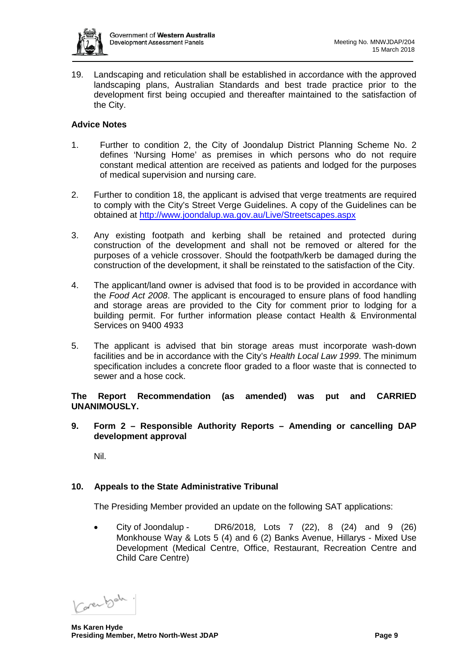

19. Landscaping and reticulation shall be established in accordance with the approved landscaping plans, Australian Standards and best trade practice prior to the development first being occupied and thereafter maintained to the satisfaction of the City.

## **Advice Notes**

- 1. Further to condition 2, the City of Joondalup District Planning Scheme No. 2 defines 'Nursing Home' as premises in which persons who do not require constant medical attention are received as patients and lodged for the purposes of medical supervision and nursing care.
- 2. Further to condition 18, the applicant is advised that verge treatments are required to comply with the City's Street Verge Guidelines. A copy of the Guidelines can be obtained at<http://www.joondalup.wa.gov.au/Live/Streetscapes.aspx>
- 3. Any existing footpath and kerbing shall be retained and protected during construction of the development and shall not be removed or altered for the purposes of a vehicle crossover. Should the footpath/kerb be damaged during the construction of the development, it shall be reinstated to the satisfaction of the City.
- 4. The applicant/land owner is advised that food is to be provided in accordance with the *Food Act 2008*. The applicant is encouraged to ensure plans of food handling and storage areas are provided to the City for comment prior to lodging for a building permit. For further information please contact Health & Environmental Services on 9400 4933
- 5. The applicant is advised that bin storage areas must incorporate wash-down facilities and be in accordance with the City's *Health Local Law 1999*. The minimum specification includes a concrete floor graded to a floor waste that is connected to sewer and a hose cock.

**The Report Recommendation (as amended) was put and CARRIED UNANIMOUSLY.**

**9. Form 2 – Responsible Authority Reports – Amending or cancelling DAP development approval**

Nil.

## **10. Appeals to the State Administrative Tribunal**

The Presiding Member provided an update on the following SAT applications:

• City of Joondalup - DR6/2018, Lots 7 (22), 8 (24) and 9 (26) Monkhouse Way & Lots 5 (4) and 6 (2) Banks Avenue, Hillarys - Mixed Use Development (Medical Centre, Office, Restaurant, Recreation Centre and Child Care Centre)

Carenbeh.